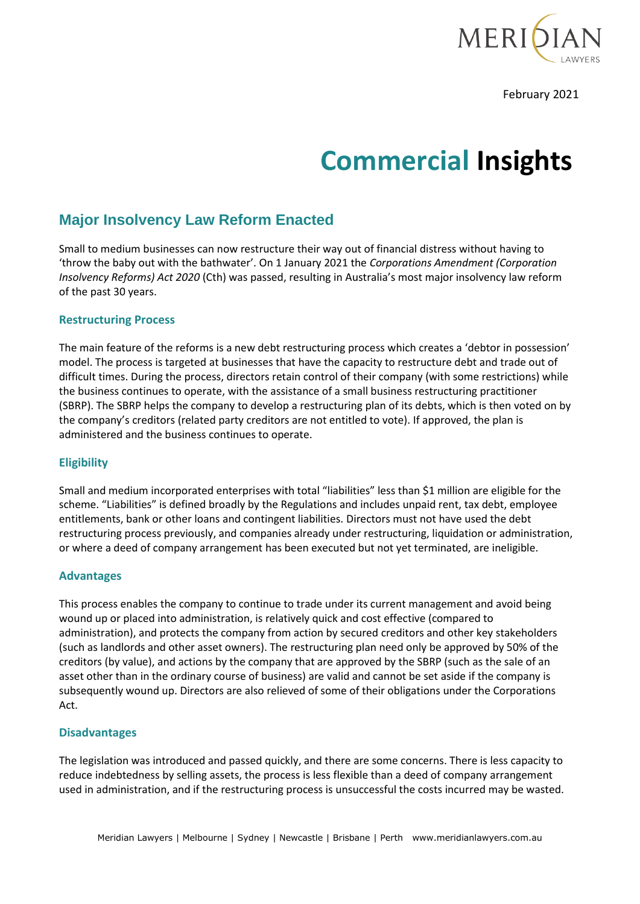

February 2021

# **Commercial Insights**

## **Major Insolvency Law Reform Enacted**

Small to medium businesses can now restructure their way out of financial distress without having to 'throw the baby out with the bathwater'. On 1 January 2021 the *Corporations Amendment (Corporation Insolvency Reforms) Act 2020* (Cth) was passed, resulting in Australia's most major insolvency law reform of the past 30 years.

#### **Restructuring Process**

The main feature of the reforms is a new debt restructuring process which creates a 'debtor in possession' model. The process is targeted at businesses that have the capacity to restructure debt and trade out of difficult times. During the process, directors retain control of their company (with some restrictions) while the business continues to operate, with the assistance of a small business restructuring practitioner (SBRP). The SBRP helps the company to develop a restructuring plan of its debts, which is then voted on by the company's creditors (related party creditors are not entitled to vote). If approved, the plan is administered and the business continues to operate.

### **Eligibility**

Small and medium incorporated enterprises with total "liabilities" less than \$1 million are eligible for the scheme. "Liabilities" is defined broadly by the Regulations and includes unpaid rent, tax debt, employee entitlements, bank or other loans and contingent liabilities. Directors must not have used the debt restructuring process previously, and companies already under restructuring, liquidation or administration, or where a deed of company arrangement has been executed but not yet terminated, are ineligible.

#### **Advantages**

This process enables the company to continue to trade under its current management and avoid being wound up or placed into administration, is relatively quick and cost effective (compared to administration), and protects the company from action by secured creditors and other key stakeholders (such as landlords and other asset owners). The restructuring plan need only be approved by 50% of the creditors (by value), and actions by the company that are approved by the SBRP (such as the sale of an asset other than in the ordinary course of business) are valid and cannot be set aside if the company is subsequently wound up. Directors are also relieved of some of their obligations under the Corporations Act.

#### **Disadvantages**

The legislation was introduced and passed quickly, and there are some concerns. There is less capacity to reduce indebtedness by selling assets, the process is less flexible than a deed of company arrangement used in administration, and if the restructuring process is unsuccessful the costs incurred may be wasted.